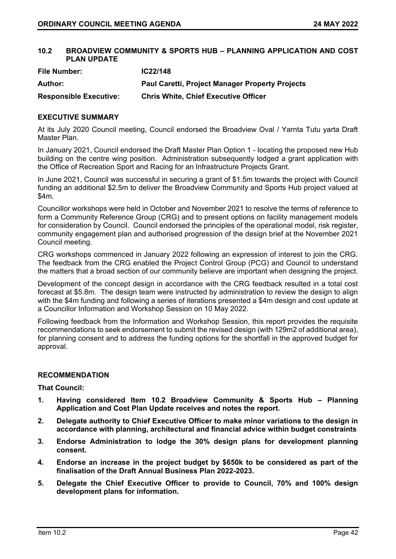## **10.2 BROADVIEW COMMUNITY & SPORTS HUB – PLANNING APPLICATION AND COST PLAN UPDATE**

| <b>File Number:</b>           | IC22/148                                               |
|-------------------------------|--------------------------------------------------------|
| Author:                       | <b>Paul Caretti, Project Manager Property Projects</b> |
| <b>Responsible Executive:</b> | <b>Chris White, Chief Executive Officer</b>            |

## **EXECUTIVE SUMMARY**

At its July 2020 Council meeting, Council endorsed the Broadview Oval / Yarnta Tutu yarta Draft Master Plan.

In January 2021, Council endorsed the Draft Master Plan Option 1 - locating the proposed new Hub building on the centre wing position. Administration subsequently lodged a grant application with the Office of Recreation Sport and Racing for an Infrastructure Projects Grant.

In June 2021, Council was successful in securing a grant of \$1.5m towards the project with Council funding an additional \$2.5m to deliver the Broadview Community and Sports Hub project valued at  $$4m$ 

Councillor workshops were held in October and November 2021 to resolve the terms of reference to form a Community Reference Group (CRG) and to present options on facility management models for consideration by Council. Council endorsed the principles of the operational model, risk register, community engagement plan and authorised progression of the design brief at the November 2021 Council meeting.

CRG workshops commenced in January 2022 following an expression of interest to join the CRG. The feedback from the CRG enabled the Project Control Group (PCG) and Council to understand the matters that a broad section of our community believe are important when designing the project.

Development of the concept design in accordance with the CRG feedback resulted in a total cost forecast at \$5.8m. The design team were instructed by administration to review the design to align with the \$4m funding and following a series of iterations presented a \$4m design and cost update at a Councillor Information and Workshop Session on 10 May 2022.

Following feedback from the Information and Workshop Session, this report provides the requisite recommendations to seek endorsement to submit the revised design (with 129m2 of additional area), for planning consent and to address the funding options for the shortfall in the approved budget for approval.

## **RECOMMENDATION**

**That Council:**

- **1. Having considered Item 10.2 Broadview Community & Sports Hub – Planning Application and Cost Plan Update receives and notes the report.**
- **2. Delegate authority to Chief Executive Officer to make minor variations to the design in accordance with planning, architectural and financial advice within budget constraints**
- **3. Endorse Administration to lodge the 30% design plans for development planning consent.**
- **4. Endorse an increase in the project budget by \$650k to be considered as part of the finalisation of the Draft Annual Business Plan 2022-2023.**
- **5. Delegate the Chief Executive Officer to provide to Council, 70% and 100% design development plans for information.**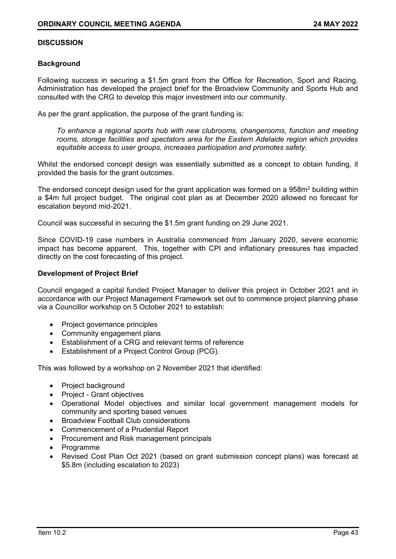## **DISCUSSION**

### **Background**

Following success in securing a \$1.5m grant from the Office for Recreation, Sport and Racing, Administration has developed the project brief for the Broadview Community and Sports Hub and consulted with the CRG to develop this major investment into our community.

As per the grant application, the purpose of the grant funding is:

*To enhance a regional sports hub with new clubrooms, changerooms, function and meeting rooms, storage facilities and spectators area for the Eastern Adelaide region which provides equitable access to user groups, increases participation and promotes safety.*

Whilst the endorsed concept design was essentially submitted as a concept to obtain funding, it provided the basis for the grant outcomes.

The endorsed concept design used for the grant application was formed on a  $958m<sup>2</sup>$  building within a \$4m full project budget. The original cost plan as at December 2020 allowed no forecast for escalation beyond mid-2021.

Council was successful in securing the \$1.5m grant funding on 29 June 2021.

Since COVID-19 case numbers in Australia commenced from January 2020, severe economic impact has become apparent. This, together with CPI and inflationary pressures has impacted directly on the cost forecasting of this project.

#### **Development of Project Brief**

Council engaged a capital funded Project Manager to deliver this project in October 2021 and in accordance with our Project Management Framework set out to commence project planning phase via a Councillor workshop on 5 October 2021 to establish:

- Project governance principles
- Community engagement plans
- Establishment of a CRG and relevant terms of reference
- Establishment of a Project Control Group (PCG).

This was followed by a workshop on 2 November 2021 that identified:

- Project background
- Project Grant objectives
- Operational Model objectives and similar local government management models for community and sporting based venues
- Broadview Football Club considerations
- Commencement of a Prudential Report
- Procurement and Risk management principals
- Programme
- Revised Cost Plan Oct 2021 (based on grant submission concept plans) was forecast at \$5.8m (including escalation to 2023)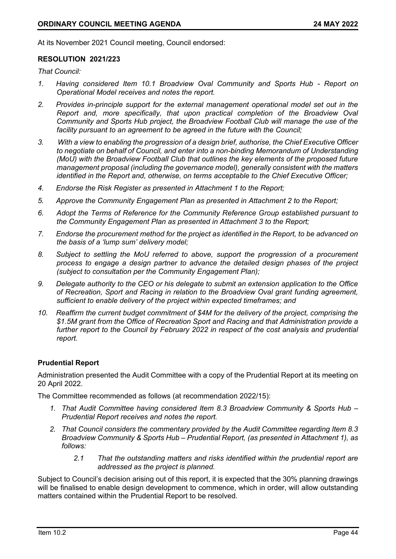At its November 2021 Council meeting, Council endorsed:

### **RESOLUTION 2021/223**

*That Council:*

- *1. Having considered Item 10.1 Broadview Oval Community and Sports Hub - Report on Operational Model receives and notes the report.*
- *2. Provides in-principle support for the external management operational model set out in the Report and, more specifically, that upon practical completion of the Broadview Oval Community and Sports Hub project, the Broadview Football Club will manage the use of the*  facility pursuant to an agreement to be agreed in the future with the Council;
- *3. With a view to enabling the progression of a design brief, authorise, the Chief Executive Officer to negotiate on behalf of Council, and enter into a non-binding Memorandum of Understanding (MoU) with the Broadview Football Club that outlines the key elements of the proposed future management proposal (including the governance model), generally consistent with the matters identified in the Report and, otherwise, on terms acceptable to the Chief Executive Officer;*
- *4. Endorse the Risk Register as presented in Attachment 1 to the Report;*
- *5. Approve the Community Engagement Plan as presented in Attachment 2 to the Report;*
- *6. Adopt the Terms of Reference for the Community Reference Group established pursuant to the Community Engagement Plan as presented in Attachment 3 to the Report;*
- *7. Endorse the procurement method for the project as identified in the Report, to be advanced on the basis of a 'lump sum' delivery model;*
- *8. Subject to settling the MoU referred to above, support the progression of a procurement process to engage a design partner to advance the detailed design phases of the project (subject to consultation per the Community Engagement Plan);*
- *9. Delegate authority to the CEO or his delegate to submit an extension application to the Office of Recreation, Sport and Racing in relation to the Broadview Oval grant funding agreement, sufficient to enable delivery of the project within expected timeframes; and*
- *10. Reaffirm the current budget commitment of \$4M for the delivery of the project, comprising the \$1.5M grant from the Office of Recreation Sport and Racing and that Administration provide a*  further report to the Council by February 2022 in respect of the cost analysis and prudential *report.*

## **Prudential Report**

Administration presented the Audit Committee with a copy of the Prudential Report at its meeting on 20 April 2022.

The Committee recommended as follows (at recommendation 2022/15):

- *1. That Audit Committee having considered Item 8.3 Broadview Community & Sports Hub – Prudential Report receives and notes the report.*
- *2. That Council considers the commentary provided by the Audit Committee regarding Item 8.3 Broadview Community & Sports Hub – Prudential Report, (as presented in Attachment 1), as follows:*
	- *2.1 That the outstanding matters and risks identified within the prudential report are addressed as the project is planned.*

Subject to Council's decision arising out of this report, it is expected that the 30% planning drawings will be finalised to enable design development to commence, which in order, will allow outstanding matters contained within the Prudential Report to be resolved.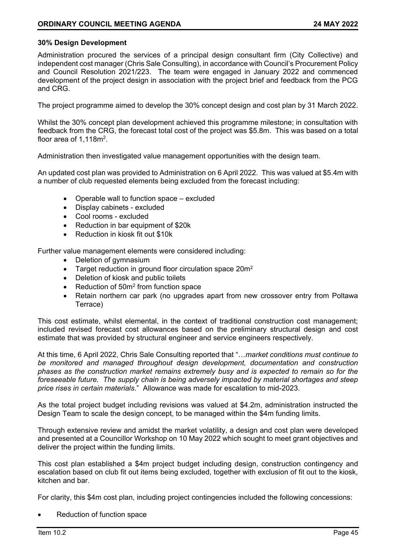## **30% Design Development**

Administration procured the services of a principal design consultant firm (City Collective) and independent cost manager (Chris Sale Consulting), in accordance with Council's Procurement Policy and Council Resolution 2021/223. The team were engaged in January 2022 and commenced development of the project design in association with the project brief and feedback from the PCG and CRG.

The project programme aimed to develop the 30% concept design and cost plan by 31 March 2022.

Whilst the 30% concept plan development achieved this programme milestone; in consultation with feedback from the CRG, the forecast total cost of the project was \$5.8m. This was based on a total floor area of 1,118 $m<sup>2</sup>$ .

Administration then investigated value management opportunities with the design team.

An updated cost plan was provided to Administration on 6 April 2022. This was valued at \$5.4m with a number of club requested elements being excluded from the forecast including:

- Operable wall to function space excluded
- Display cabinets excluded
- Cool rooms excluded
- Reduction in bar equipment of \$20k
- Reduction in kiosk fit out \$10k

Further value management elements were considered including:

- Deletion of gymnasium
- Target reduction in ground floor circulation space 20m<sup>2</sup>
- Deletion of kiosk and public toilets
- Reduction of 50m<sup>2</sup> from function space
- Retain northern car park (no upgrades apart from new crossover entry from Poltawa Terrace)

This cost estimate, whilst elemental, in the context of traditional construction cost management; included revised forecast cost allowances based on the preliminary structural design and cost estimate that was provided by structural engineer and service engineers respectively.

At this time, 6 April 2022, Chris Sale Consulting reported that "…*market conditions must continue to be monitored and managed throughout design development, documentation and construction phases as the construction market remains extremely busy and is expected to remain so for the foreseeable future. The supply chain is being adversely impacted by material shortages and steep price rises in certain materials*." Allowance was made for escalation to mid-2023.

As the total project budget including revisions was valued at \$4.2m, administration instructed the Design Team to scale the design concept, to be managed within the \$4m funding limits.

Through extensive review and amidst the market volatility, a design and cost plan were developed and presented at a Councillor Workshop on 10 May 2022 which sought to meet grant objectives and deliver the project within the funding limits.

This cost plan established a \$4m project budget including design, construction contingency and escalation based on club fit out items being excluded, together with exclusion of fit out to the kiosk, kitchen and bar.

For clarity, this \$4m cost plan, including project contingencies included the following concessions:

Reduction of function space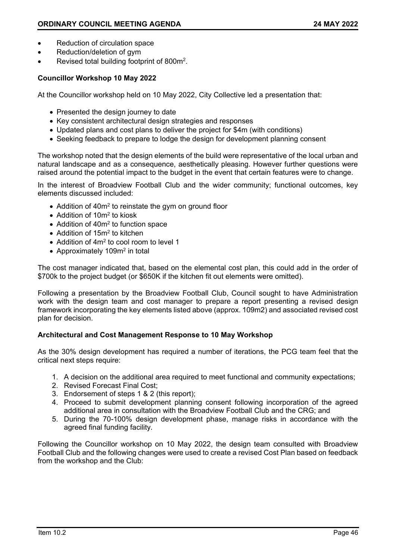- Reduction of circulation space
- Reduction/deletion of gym
- Revised total building footprint of 800m<sup>2</sup>.

### **Councillor Workshop 10 May 2022**

At the Councillor workshop held on 10 May 2022, City Collective led a presentation that:

- Presented the design journey to date
- Key consistent architectural design strategies and responses
- Updated plans and cost plans to deliver the project for \$4m (with conditions)
- Seeking feedback to prepare to lodge the design for development planning consent

The workshop noted that the design elements of the build were representative of the local urban and natural landscape and as a consequence, aesthetically pleasing. However further questions were raised around the potential impact to the budget in the event that certain features were to change.

In the interest of Broadview Football Club and the wider community; functional outcomes, key elements discussed included:

- Addition of 40m<sup>2</sup> to reinstate the gym on ground floor
- Addition of 10m<sup>2</sup> to kiosk
- Addition of 40m<sup>2</sup> to function space
- Addition of 15m<sup>2</sup> to kitchen
- Addition of 4m<sup>2</sup> to cool room to level 1
- Approximately 109m<sup>2</sup> in total

The cost manager indicated that, based on the elemental cost plan, this could add in the order of \$700k to the project budget (or \$650K if the kitchen fit out elements were omitted).

Following a presentation by the Broadview Football Club, Council sought to have Administration work with the design team and cost manager to prepare a report presenting a revised design framework incorporating the key elements listed above (approx. 109m2) and associated revised cost plan for decision.

#### **Architectural and Cost Management Response to 10 May Workshop**

As the 30% design development has required a number of iterations, the PCG team feel that the critical next steps require:

- 1. A decision on the additional area required to meet functional and community expectations;
- 2. Revised Forecast Final Cost;
- 3. Endorsement of steps 1 & 2 (this report);
- 4. Proceed to submit development planning consent following incorporation of the agreed additional area in consultation with the Broadview Football Club and the CRG; and
- 5. During the 70-100% design development phase, manage risks in accordance with the agreed final funding facility.

Following the Councillor workshop on 10 May 2022, the design team consulted with Broadview Football Club and the following changes were used to create a revised Cost Plan based on feedback from the workshop and the Club: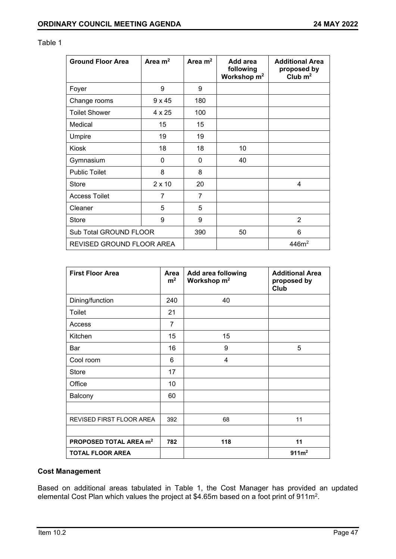| <b>Ground Floor Area</b>  | Area $m2$     | Area $m2$ | Add area<br>following<br>Workshop $m2$ | <b>Additional Area</b><br>proposed by<br>Club $m2$ |
|---------------------------|---------------|-----------|----------------------------------------|----------------------------------------------------|
| Foyer                     | 9             | 9         |                                        |                                                    |
| Change rooms              | $9 \times 45$ | 180       |                                        |                                                    |
| <b>Toilet Shower</b>      | 4 x 25        | 100       |                                        |                                                    |
| Medical                   | 15            | 15        |                                        |                                                    |
| Umpire                    | 19            | 19        |                                        |                                                    |
| <b>Kiosk</b>              | 18            | 18        | 10                                     |                                                    |
| Gymnasium                 | 0             | 0         | 40                                     |                                                    |
| <b>Public Toilet</b>      | 8             | 8         |                                        |                                                    |
| Store                     | $2 \times 10$ | 20        |                                        | 4                                                  |
| <b>Access Toilet</b>      | 7             | 7         |                                        |                                                    |
| Cleaner                   | 5             | 5         |                                        |                                                    |
| <b>Store</b>              | 9             | 9         |                                        | $\overline{2}$                                     |
| Sub Total GROUND FLOOR    |               | 390       | 50                                     | 6                                                  |
| REVISED GROUND FLOOR AREA |               |           |                                        | 446m <sup>2</sup>                                  |

#### Table 1

| <b>First Floor Area</b>            | Area<br>m <sup>2</sup> | Add area following<br>Workshop m <sup>2</sup> | <b>Additional Area</b><br>proposed by<br>Club |
|------------------------------------|------------------------|-----------------------------------------------|-----------------------------------------------|
| Dining/function                    | 240                    | 40                                            |                                               |
| Toilet                             | 21                     |                                               |                                               |
| Access                             | 7                      |                                               |                                               |
| Kitchen                            | 15                     | 15                                            |                                               |
| Bar                                | 16                     | 9                                             | 5                                             |
| Cool room                          | 6                      | 4                                             |                                               |
| <b>Store</b>                       | 17                     |                                               |                                               |
| Office                             | 10                     |                                               |                                               |
| Balcony                            | 60                     |                                               |                                               |
|                                    |                        |                                               |                                               |
| REVISED FIRST FLOOR AREA           | 392                    | 68                                            | 11                                            |
|                                    |                        |                                               |                                               |
| PROPOSED TOTAL AREA m <sup>2</sup> | 782                    | 118                                           | 11                                            |
| <b>TOTAL FLOOR AREA</b>            |                        |                                               | 911m <sup>2</sup>                             |

## **Cost Management**

Based on additional areas tabulated in Table 1, the Cost Manager has provided an updated elemental Cost Plan which values the project at \$4.65m based on a foot print of  $911\mathrm{m}^2$ .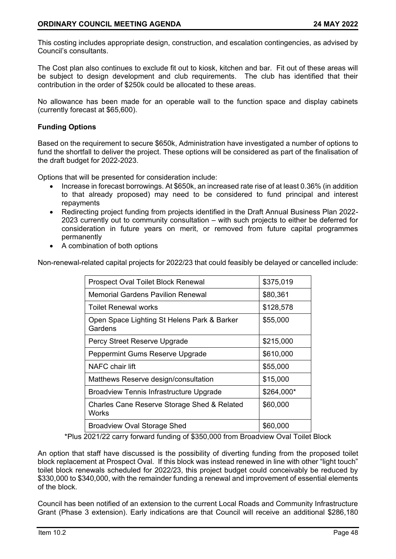This costing includes appropriate design, construction, and escalation contingencies, as advised by Council's consultants.

The Cost plan also continues to exclude fit out to kiosk, kitchen and bar. Fit out of these areas will be subject to design development and club requirements. The club has identified that their contribution in the order of \$250k could be allocated to these areas.

No allowance has been made for an operable wall to the function space and display cabinets (currently forecast at \$65,600).

## **Funding Options**

Based on the requirement to secure \$650k, Administration have investigated a number of options to fund the shortfall to deliver the project. These options will be considered as part of the finalisation of the draft budget for 2022-2023.

Options that will be presented for consideration include:

- Increase in forecast borrowings. At \$650k, an increased rate rise of at least 0.36% (in addition to that already proposed) may need to be considered to fund principal and interest repayments
- Redirecting project funding from projects identified in the Draft Annual Business Plan 2022- 2023 currently out to community consultation – with such projects to either be deferred for consideration in future years on merit, or removed from future capital programmes permanently
- A combination of both options

Non-renewal-related capital projects for 2022/23 that could feasibly be delayed or cancelled include:

| Prospect Oval Toilet Block Renewal                     | \$375,019  |
|--------------------------------------------------------|------------|
| Memorial Gardens Pavilion Renewal                      | \$80,361   |
| <b>Toilet Renewal works</b>                            | \$128,578  |
| Open Space Lighting St Helens Park & Barker<br>Gardens | \$55,000   |
| Percy Street Reserve Upgrade                           | \$215,000  |
| Peppermint Gums Reserve Upgrade                        | \$610,000  |
| NAFC chair lift                                        | \$55,000   |
| Matthews Reserve design/consultation                   | \$15,000   |
| <b>Broadview Tennis Infrastructure Upgrade</b>         | \$264,000* |
| Charles Cane Reserve Storage Shed & Related<br>Works   | \$60,000   |
| <b>Broadview Oval Storage Shed</b>                     | \$60,000   |

\*Plus 2021/22 carry forward funding of \$350,000 from Broadview Oval Toilet Block

An option that staff have discussed is the possibility of diverting funding from the proposed toilet block replacement at Prospect Oval. If this block was instead renewed in line with other "light touch" toilet block renewals scheduled for 2022/23, this project budget could conceivably be reduced by \$330,000 to \$340,000, with the remainder funding a renewal and improvement of essential elements of the block.

Council has been notified of an extension to the current Local Roads and Community Infrastructure Grant (Phase 3 extension). Early indications are that Council will receive an additional \$286,180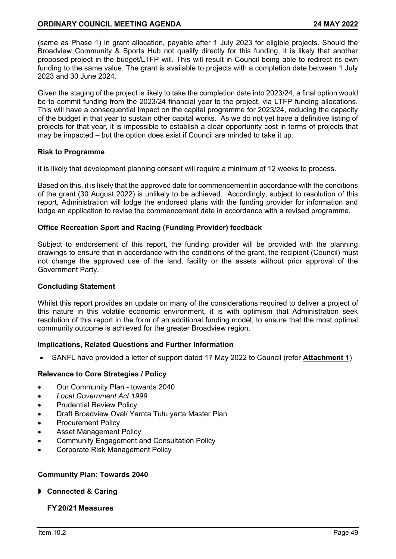(same as Phase 1) in grant allocation, payable after 1 July 2023 for eligible projects. Should the Broadview Community & Sports Hub not qualify directly for this funding, it is likely that another proposed project in the budget/LTFP will. This will result in Council being able to redirect its own funding to the same value. The grant is available to projects with a completion date between 1 July 2023 and 30 June 2024.

Given the staging of the project is likely to take the completion date into 2023/24, a final option would be to commit funding from the 2023/24 financial year to the project, via LTFP funding allocations. This will have a consequential impact on the capital programme for 2023/24, reducing the capacity of the budget in that year to sustain other capital works. As we do not yet have a definitive listing of projects for that year, it is impossible to establish a clear opportunity cost in terms of projects that may be impacted – but the option does exist if Council are minded to take it up.

#### **Risk to Programme**

It is likely that development planning consent will require a minimum of 12 weeks to process.

Based on this, it is likely that the approved date for commencement in accordance with the conditions of the grant (30 August 2022) is unlikely to be achieved. Accordingly, subject to resolution of this report, Administration will lodge the endorsed plans with the funding provider for information and lodge an application to revise the commencement date in accordance with a revised programme.

#### **Office Recreation Sport and Racing (Funding Provider) feedback**

Subject to endorsement of this report, the funding provider will be provided with the planning drawings to ensure that in accordance with the conditions of the grant, the recipient (Council) must not change the approved use of the land, facility or the assets without prior approval of the Government Party.

#### **Concluding Statement**

Whilst this report provides an update on many of the considerations required to deliver a project of this nature in this volatile economic environment, it is with optimism that Administration seek resolution of this report in the form of an additional funding model; to ensure that the most optimal community outcome is achieved for the greater Broadview region.

## **Implications, Related Questions and Further Information**

SANFL have provided a letter of support dated 17 May 2022 to Council (refer **Attachment 1**)

## **Relevance to Core Strategies / Policy**

- Our Community Plan towards 2040
- *Local Government Act 1999*
- Prudential Review Policy
- Draft Broadview Oval/ Yarnta Tutu yarta Master Plan
- Procurement Policy
- Asset Management Policy
- Community Engagement and Consultation Policy
- Corporate Risk Management Policy

## **Community Plan: Towards 2040**

**Connected & Caring**

## **FY20/21 Measures**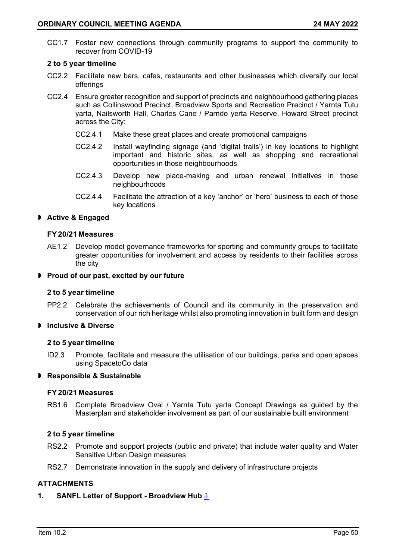CC1.7 Foster new connections through community programs to support the community to recover from COVID-19

#### **2 to 5 year timeline**

- CC2.2 Facilitate new bars, cafes, restaurants and other businesses which diversify our local offerings
- CC2.4 Ensure greater recognition and support of precincts and neighbourhood gathering places such as Collinswood Precinct, Broadview Sports and Recreation Precinct / Yarnta Tutu yarta, Nailsworth Hall, Charles Cane / Parndo yerta Reserve, Howard Street precinct across the City:
	- CC2.4.1 Make these great places and create promotional campaigns
	- CC2.4.2 Install wayfinding signage (and 'digital trails') in key locations to highlight important and historic sites, as well as shopping and recreational opportunities in those neighbourhoods
	- CC2.4.3 Develop new place-making and urban renewal initiatives in those neighbourhoods
	- CC2.4.4 Facilitate the attraction of a key 'anchor' or 'hero' business to each of those key locations

#### **Active & Engaged**

#### **FY20/21 Measures**

AE1.2 Develop model governance frameworks for sporting and community groups to facilitate greater opportunities for involvement and access by residents to their facilities across the city

#### **Proud of our past, excited by our future**

#### **2 to 5 year timeline**

PP2.2 Celebrate the achievements of Council and its community in the preservation and conservation of our rich heritage whilst also promoting innovation in built form and design

# **Inclusive & Diverse**

#### **2 to 5 year timeline**

ID2.3 Promote, facilitate and measure the utilisation of our buildings, parks and open spaces using SpacetoCo data

#### **Responsible & Sustainable**

#### **FY20/21 Measures**

RS1.6 Complete Broadview Oval / Yarnta Tutu yarta Concept Drawings as guided by the Masterplan and stakeholder involvement as part of our sustainable built environment

#### **2 to 5 year timeline**

- RS2.2 Promote and support projects (public and private) that include water quality and Water Sensitive Urban Design measures
- RS2.7 Demonstrate innovation in the supply and delivery of infrastructure projects

## **ATTACHMENTS**

#### **1. SANFL Letter of Support - Broadview Hub** [⇩](#page-9-0)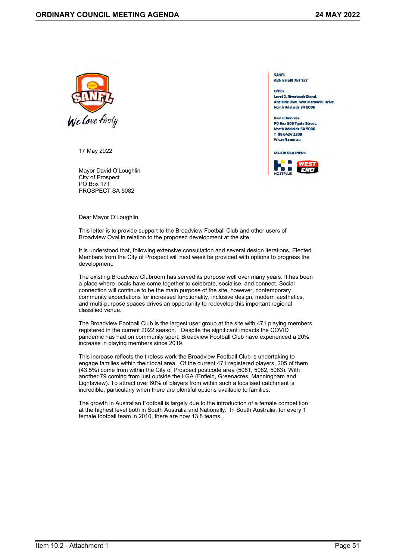<span id="page-9-0"></span>

17 May 2022

Mayor David O'Loughlin City of Prospect PO Box 171 PROSPECT SA 5082

**SANFL** ABN 59 518 757 737

Office **Level 2, Riverbank Stand,** Adelaide Oval, War Memorial Drive, North Adelaide SA 5006

**Postal Address** PO Box 606 Tynte Street, North Adelaide SA 5006 T 08 8424 2200 W sanfl.com.au



Dear Mayor O'Loughlin,

This letter is to provide support to the Broadview Football Club and other users of Broadview Oval in relation to the proposed development at the site.

It is understood that, following extensive consultation and several design iterations, Elected Members from the City of Prospect will next week be provided with options to progress the development.

The existing Broadview Clubroom has served its purpose well over many years. It has been a place where locals have come together to celebrate, socialise, and connect. Social connection will continue to be the main purpose of the site, however, contemporary community expectations for increased functionality, inclusive design, modern aesthetics, and multi-purpose spaces drives an opportunity to redevelop this important regional classified venue.

The Broadview Football Club is the largest user group at the site with 471 playing members registered in the current 2022 season. Despite the significant impacts the COVID pandemic has had on community sport, Broadview Football Club have experienced a 20% increase in playing members since 2019.

This increase reflects the tireless work the Broadview Football Club is undertaking to engage families within their local area. Of the current 471 registered players, 205 of them (43.5%) come from within the City of Prospect postcode area (5081, 5082, 5083). With another 79 coming from just outside the LGA (Enfield, Greenacres, Manningham and Lightsview). To attract over 60% of players from within such a localised catchment is incredible, particularly when there are plentiful options available to families.

The growth in Australian Football is largely due to the introduction of a female competition at the highest level both in South Australia and Nationally. In South Australia, for every 1 female football team in 2010, there are now 13.8 teams.